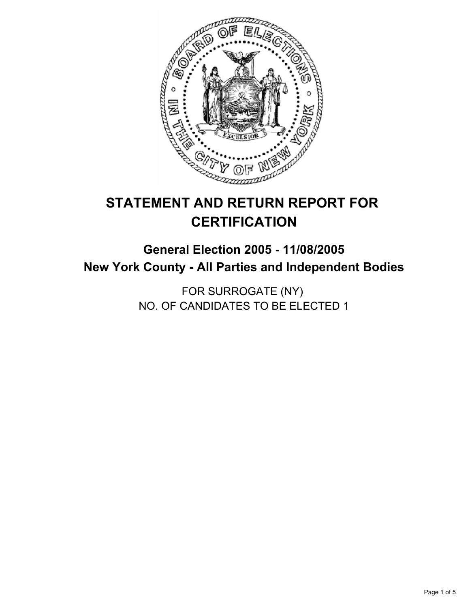

# **STATEMENT AND RETURN REPORT FOR CERTIFICATION**

## **General Election 2005 - 11/08/2005 New York County - All Parties and Independent Bodies**

FOR SURROGATE (NY) NO. OF CANDIDATES TO BE ELECTED 1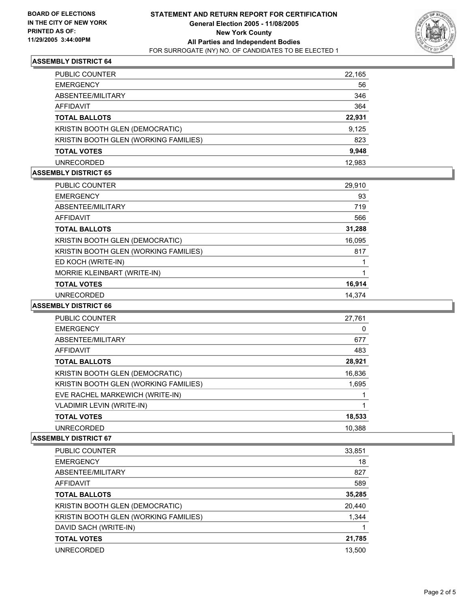

#### **ASSEMBLY DISTRICT 64**

| PUBLIC COUNTER                        | 22,165 |
|---------------------------------------|--------|
| <b>EMERGENCY</b>                      | 56     |
| ABSENTEE/MILITARY                     | 346    |
| AFFIDAVIT                             | 364    |
| <b>TOTAL BALLOTS</b>                  | 22,931 |
| KRISTIN BOOTH GLEN (DEMOCRATIC)       | 9,125  |
| KRISTIN BOOTH GLEN (WORKING FAMILIES) | 823    |
| <b>TOTAL VOTES</b>                    | 9,948  |
| <b>UNRECORDED</b>                     | 12.983 |

#### **ASSEMBLY DISTRICT 65**

| PUBLIC COUNTER                        | 29,910 |  |
|---------------------------------------|--------|--|
| <b>EMERGENCY</b>                      | 93     |  |
| ABSENTEE/MILITARY                     | 719    |  |
| AFFIDAVIT                             | 566    |  |
| <b>TOTAL BALLOTS</b>                  | 31,288 |  |
| KRISTIN BOOTH GLEN (DEMOCRATIC)       | 16,095 |  |
| KRISTIN BOOTH GLEN (WORKING FAMILIES) | 817    |  |
| ED KOCH (WRITE-IN)                    |        |  |
| MORRIE KLEINBART (WRITE-IN)           |        |  |
| <b>TOTAL VOTES</b>                    | 16,914 |  |
| <b>UNRECORDED</b>                     | 14.374 |  |

#### **ASSEMBLY DISTRICT 66**

| PUBLIC COUNTER                         | 27,761 |
|----------------------------------------|--------|
| <b>EMERGENCY</b>                       | 0      |
| ABSENTEE/MILITARY                      | 677    |
| AFFIDAVIT                              | 483    |
| <b>TOTAL BALLOTS</b>                   | 28,921 |
| <b>KRISTIN BOOTH GLEN (DEMOCRATIC)</b> | 16,836 |
| KRISTIN BOOTH GLEN (WORKING FAMILIES)  | 1,695  |
| EVE RACHEL MARKEWICH (WRITE-IN)        |        |
| VLADIMIR LEVIN (WRITE-IN)              |        |
| <b>TOTAL VOTES</b>                     | 18,533 |
| <b>UNRECORDED</b>                      | 10.388 |

## **ASSEMBLY DISTRICT 67**

| PUBLIC COUNTER                        | 33,851 |
|---------------------------------------|--------|
| <b>EMERGENCY</b>                      | 18     |
| ABSENTEE/MILITARY                     | 827    |
| AFFIDAVIT                             | 589    |
| <b>TOTAL BALLOTS</b>                  | 35,285 |
| KRISTIN BOOTH GLEN (DEMOCRATIC)       | 20,440 |
| KRISTIN BOOTH GLEN (WORKING FAMILIES) | 1,344  |
| DAVID SACH (WRITE-IN)                 |        |
| <b>TOTAL VOTES</b>                    | 21,785 |
| UNRECORDED                            | 13.500 |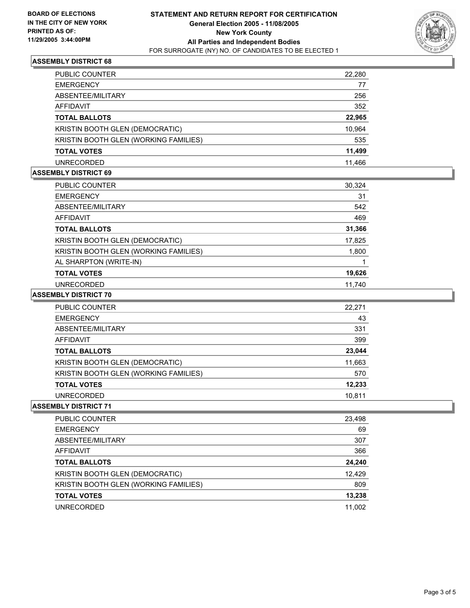

## **ASSEMBLY DISTRICT 68**

| <b>PUBLIC COUNTER</b>                        | 22,280 |
|----------------------------------------------|--------|
| <b>EMERGENCY</b>                             | 77     |
| ABSENTEE/MILITARY                            | 256    |
| AFFIDAVIT                                    | 352    |
| <b>TOTAL BALLOTS</b>                         | 22,965 |
| KRISTIN BOOTH GLEN (DEMOCRATIC)              | 10,964 |
| <b>KRISTIN BOOTH GLEN (WORKING FAMILIES)</b> | 535    |
| <b>TOTAL VOTES</b>                           | 11,499 |
| <b>UNRECORDED</b>                            | 11.466 |

#### **ASSEMBLY DISTRICT 69**

| <b>PUBLIC COUNTER</b>                 | 30,324 |
|---------------------------------------|--------|
| <b>EMERGENCY</b>                      | 31     |
| ABSENTEE/MILITARY                     | 542    |
| AFFIDAVIT                             | 469    |
| <b>TOTAL BALLOTS</b>                  | 31,366 |
| KRISTIN BOOTH GLEN (DEMOCRATIC)       | 17,825 |
| KRISTIN BOOTH GLEN (WORKING FAMILIES) | 1,800  |
| AL SHARPTON (WRITE-IN)                |        |
| <b>TOTAL VOTES</b>                    | 19,626 |
| <b>UNRECORDED</b>                     | 11,740 |

#### **ASSEMBLY DISTRICT 70**

| PUBLIC COUNTER                        | 22,271 |
|---------------------------------------|--------|
| <b>EMERGENCY</b>                      | 43     |
| ABSENTEE/MILITARY                     | 331    |
| AFFIDAVIT                             | 399    |
| <b>TOTAL BALLOTS</b>                  | 23,044 |
| KRISTIN BOOTH GLEN (DEMOCRATIC)       | 11,663 |
| KRISTIN BOOTH GLEN (WORKING FAMILIES) | 570    |
| <b>TOTAL VOTES</b>                    | 12,233 |
| <b>UNRECORDED</b>                     | 10.811 |

#### **ASSEMBLY DISTRICT 71**

| <b>PUBLIC COUNTER</b>                 | 23,498 |
|---------------------------------------|--------|
| <b>EMERGENCY</b>                      | 69     |
| ABSENTEE/MILITARY                     | 307    |
| AFFIDAVIT                             | 366    |
| <b>TOTAL BALLOTS</b>                  | 24,240 |
| KRISTIN BOOTH GLEN (DEMOCRATIC)       | 12,429 |
| KRISTIN BOOTH GLEN (WORKING FAMILIES) | 809    |
| <b>TOTAL VOTES</b>                    | 13,238 |
| <b>UNRECORDED</b>                     | 11.002 |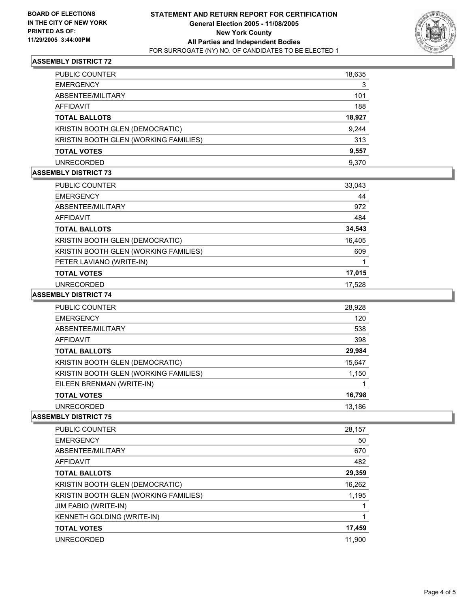

## **ASSEMBLY DISTRICT 72**

| <b>PUBLIC COUNTER</b>                 | 18,635 |
|---------------------------------------|--------|
| <b>EMERGENCY</b>                      | 3      |
| ABSENTEE/MILITARY                     | 101    |
| AFFIDAVIT                             | 188    |
| <b>TOTAL BALLOTS</b>                  | 18,927 |
| KRISTIN BOOTH GLEN (DEMOCRATIC)       | 9,244  |
| KRISTIN BOOTH GLEN (WORKING FAMILIES) | 313    |
| <b>TOTAL VOTES</b>                    | 9,557  |
| <b>UNRECORDED</b>                     | 9.370  |

## **ASSEMBLY DISTRICT 73**

| PUBLIC COUNTER                        | 33,043 |  |
|---------------------------------------|--------|--|
| <b>EMERGENCY</b>                      | 44     |  |
| ABSENTEE/MILITARY                     | 972    |  |
| AFFIDAVIT                             | 484    |  |
| <b>TOTAL BALLOTS</b>                  | 34,543 |  |
| KRISTIN BOOTH GLEN (DEMOCRATIC)       | 16,405 |  |
| KRISTIN BOOTH GLEN (WORKING FAMILIES) | 609    |  |
| PETER LAVIANO (WRITE-IN)              |        |  |
| <b>TOTAL VOTES</b>                    | 17,015 |  |
| <b>UNRECORDED</b>                     | 17,528 |  |

#### **ASSEMBLY DISTRICT 74**

| <b>PUBLIC COUNTER</b>                 | 28,928 |
|---------------------------------------|--------|
| <b>EMERGENCY</b>                      | 120    |
| ABSENTEE/MILITARY                     | 538    |
| AFFIDAVIT                             | 398    |
| <b>TOTAL BALLOTS</b>                  | 29,984 |
| KRISTIN BOOTH GLEN (DEMOCRATIC)       | 15,647 |
| KRISTIN BOOTH GLEN (WORKING FAMILIES) | 1,150  |
| EILEEN BRENMAN (WRITE-IN)             |        |
| <b>TOTAL VOTES</b>                    | 16,798 |
| UNRECORDED                            | 13,186 |

#### **ASSEMBLY DISTRICT 75**

| <b>PUBLIC COUNTER</b>                 | 28,157 |
|---------------------------------------|--------|
| <b>EMERGENCY</b>                      | 50     |
| ABSENTEE/MILITARY                     | 670    |
| <b>AFFIDAVIT</b>                      | 482    |
| <b>TOTAL BALLOTS</b>                  | 29,359 |
| KRISTIN BOOTH GLEN (DEMOCRATIC)       | 16,262 |
| KRISTIN BOOTH GLEN (WORKING FAMILIES) | 1,195  |
| JIM FABIO (WRITE-IN)                  |        |
| KENNETH GOLDING (WRITE-IN)            |        |
| <b>TOTAL VOTES</b>                    | 17,459 |
| <b>UNRECORDED</b>                     | 11.900 |